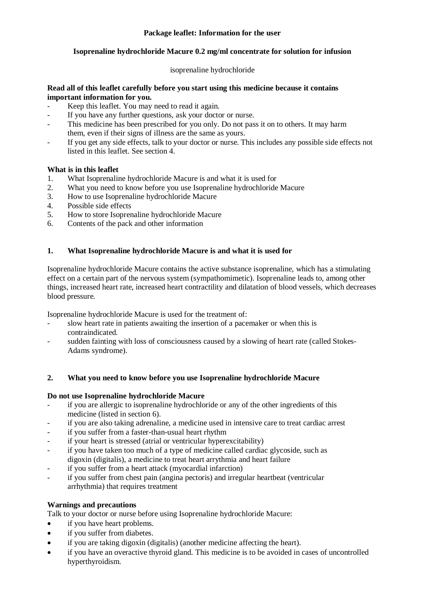### **Package leaflet: Information for the user**

### **Isoprenaline hydrochloride Macure 0.2 mg/ml concentrate for solution for infusion**

## isoprenaline hydrochloride

#### **Read all of this leaflet carefully before you start using this medicine because it contains important information for you.**

- Keep this leaflet. You may need to read it again.
- If you have any further questions, ask your doctor or nurse.
- This medicine has been prescribed for you only. Do not pass it on to others. It may harm them, even if their signs of illness are the same as yours.
- If you get any side effects, talk to your doctor or nurse. This includes any possible side effects not listed in this leaflet. See section 4.

### **What is in this leaflet**

- 1. What Isoprenaline hydrochloride Macure is and what it is used for
- 2. What you need to know before you use Isoprenaline hydrochloride Macure
- 3. How to use Isoprenaline hydrochloride Macure
- 4. Possible side effects
- 5. How to store Isoprenaline hydrochloride Macure
- 6. Contents of the pack and other information

#### **1. What Isoprenaline hydrochloride Macure is and what it is used for**

Isoprenaline hydrochloride Macure contains the active substance isoprenaline, which has a stimulating effect on a certain part of the nervous system (sympathomimetic). Isoprenaline leads to, among other things, increased heart rate, increased heart contractility and dilatation of blood vessels, which decreases blood pressure.

Isoprenaline hydrochloride Macure is used for the treatment of:

- slow heart rate in patients awaiting the insertion of a pacemaker or when this is contraindicated.
- sudden fainting with loss of consciousness caused by a slowing of heart rate (called Stokes-Adams syndrome).

#### **2. What you need to know before you use Isoprenaline hydrochloride Macure**

#### **Do not use Isoprenaline hydrochloride Macure**

- if you are allergic to isoprenaline hydrochloride or any of the other ingredients of this medicine (listed in section 6).
- if you are also taking adrenaline, a medicine used in intensive care to treat cardiac arrest
- if you suffer from a faster-than-usual heart rhythm
- if your heart is stressed (atrial or ventricular hyperexcitability)
- if you have taken too much of a type of medicine called cardiac glycoside, such as digoxin (digitalis), a medicine to treat heart arrythmia and heart failure
- if you suffer from a heart attack (myocardial infarction)
- if you suffer from chest pain (angina pectoris) and irregular heartbeat (ventricular arrhythmia) that requires treatment

#### **Warnings and precautions**

Talk to your doctor or nurse before using Isoprenaline hydrochloride Macure:

- if you have heart problems.
- if you suffer from diabetes.
- if you are taking digoxin (digitalis) (another medicine affecting the heart).
- if you have an overactive thyroid gland. This medicine is to be avoided in cases of uncontrolled hyperthyroidism.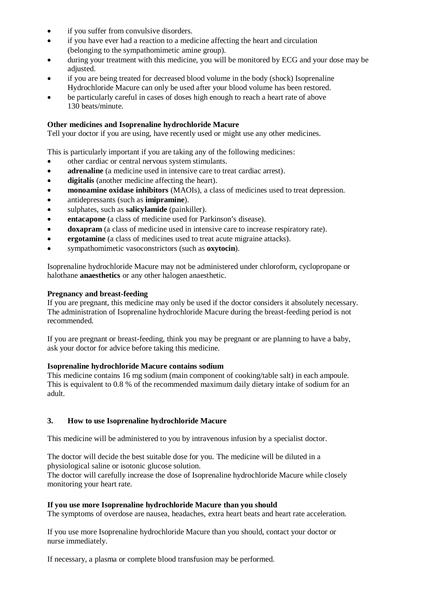- if you suffer from convulsive disorders.
- if you have ever had a reaction to a medicine affecting the heart and circulation (belonging to the sympathomimetic amine group).
- during your treatment with this medicine, you will be monitored by ECG and your dose may be adjusted.
- if you are being treated for decreased blood volume in the body (shock) Isoprenaline Hydrochloride Macure can only be used after your blood volume has been restored.
- be particularly careful in cases of doses high enough to reach a heart rate of above 130 beats/minute.

## **Other medicines and Isoprenaline hydrochloride Macure**

Tell your doctor if you are using, have recently used or might use any other medicines.

This is particularly important if you are taking any of the following medicines:

- other cardiac or central nervous system stimulants.
- **adrenaline** (a medicine used in intensive care to treat cardiac arrest).
- **digitalis** (another medicine affecting the heart).
- **monoamine oxidase inhibitors** (MAOIs), a class of medicines used to treat depression.
- antidepressants (such as **imipramine**).
- sulphates, such as **salicylamide** (painkiller).
- **entacapone** (a class of medicine used for Parkinson's disease).
- **doxapram** (a class of medicine used in intensive care to increase respiratory rate).
- **ergotamine** (a class of medicines used to treat acute migraine attacks).
- sympathomimetic vasoconstrictors (such as **oxytocin**).

Isoprenaline hydrochloride Macure may not be administered under chloroform, cyclopropane or halothane **anaesthetics** or any other halogen anaesthetic.

#### **Pregnancy and breast-feeding**

If you are pregnant, this medicine may only be used if the doctor considers it absolutely necessary. The administration of Isoprenaline hydrochloride Macure during the breast-feeding period is not recommended.

If you are pregnant or breast-feeding, think you may be pregnant or are planning to have a baby, ask your doctor for advice before taking this medicine.

#### **Isoprenaline hydrochloride Macure contains sodium**

This medicine contains 16 mg sodium (main component of cooking/table salt) in each ampoule. This is equivalent to 0.8 % of the recommended maximum daily dietary intake of sodium for an adult.

## **3. How to use Isoprenaline hydrochloride Macure**

This medicine will be administered to you by intravenous infusion by a specialist doctor.

The doctor will decide the best suitable dose for you. The medicine will be diluted in a physiological saline or isotonic glucose solution.

The doctor will carefully increase the dose of Isoprenaline hydrochloride Macure while closely monitoring your heart rate.

#### **If you use more Isoprenaline hydrochloride Macure than you should**

The symptoms of overdose are nausea, headaches, extra heart beats and heart rate acceleration.

If you use more Isoprenaline hydrochloride Macure than you should, contact your doctor or nurse immediately.

If necessary, a plasma or complete blood transfusion may be performed.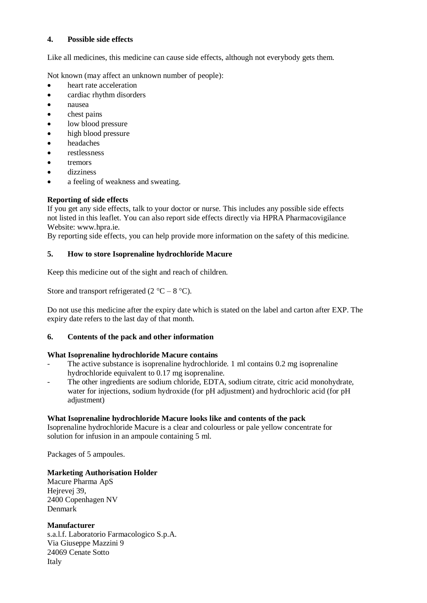### **4. Possible side effects**

Like all medicines, this medicine can cause side effects, although not everybody gets them.

Not known (may affect an unknown number of people):

- heart rate acceleration
- cardiac rhythm disorders
- nausea
- chest pains
- low blood pressure
- high blood pressure
- headaches
- restlessness
- tremors
- dizziness
- a feeling of weakness and sweating.

# **Reporting of side effects**

If you get any side effects, talk to your doctor or nurse. This includes any possible side effects not listed in this leaflet. You can also report side effects directly via HPRA Pharmacovigilance Website: [www.hpra.ie.](http://www.hpra.ie/)

By reporting side effects, you can help provide more information on the safety of this medicine.

## **5. How to store Isoprenaline hydrochloride Macure**

Keep this medicine out of the sight and reach of children.

Store and transport refrigerated (2  $^{\circ}$ C – 8  $^{\circ}$ C).

Do not use this medicine after the expiry date which is stated on the label and carton after EXP. The expiry date refers to the last day of that month.

## **6. Contents of the pack and other information**

## **What Isoprenaline hydrochloride Macure contains**

- The active substance is isoprenaline hydrochloride. 1 ml contains 0.2 mg isoprenaline hydrochloride equivalent to 0.17 mg isoprenaline.
- The other ingredients are sodium chloride, EDTA, sodium citrate, citric acid monohydrate, water for injections, sodium hydroxide (for pH adjustment) and hydrochloric acid (for pH adjustment)

## **What Isoprenaline hydrochloride Macure looks like and contents of the pack**

Isoprenaline hydrochloride Macure is a clear and colourless or pale yellow concentrate for solution for infusion in an ampoule containing 5 ml.

Packages of 5 ampoules.

## **Marketing Authorisation Holder**

Macure Pharma ApS Hejrevej 39, 2400 Copenhagen NV Denmark

## **Manufacturer**

s.a.l.f. Laboratorio Farmacologico S.p.A. Via Giuseppe Mazzini 9 24069 Cenate Sotto Italy